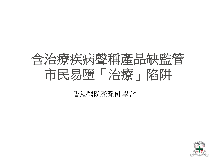

#### 香港醫院藥劑師學會

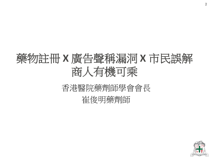# 藥物註冊 **X** 廣告聲稱漏洞 **X** 市民誤解 商人有機可乘

### 香港醫院藥劑師學會會長 崔俊明藥劑師

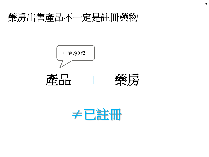### 藥房出售產品不一定是註冊藥物







≠已註冊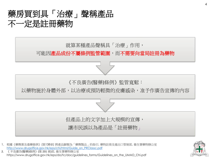### 藥房買到具「治療」聲稱產品 不一定是註冊藥物



- 1. 根據《藥劑業及毒藥條例》(第138章) 將產品歸類為「藥劑製品」的指引, 藥物註冊及進出口管制部, 衛生署藥物辦公室 [http://www.drugoffice.gov.hk/eps/chi/html/Guide\\_on\\_PRClassc.pdf](http://www.drugoffice.gov.hk/eps/chi/html/Guide_on_PRClassc.pdf)
- 2. 《 不良廣告(醫藥)條例》(第 231 章)部, 衛生署藥物辦公室 https://www.drugoffice.gov.hk/eps/do/tc/doc/guidelines\_forms/Guidelines\_on\_the\_UMAO\_Chi.pdf

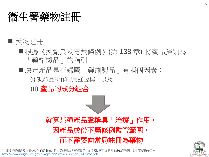## 衞生署藥物註冊

#### ■ 藥物註冊

- ■根據《藥劑業及毒藥條例》(第138章) 將產品歸類為 「藥劑製品」的指引
- ■決定產品是否歸屬「藥劑製品」有兩個因素:

(i) 就產品所作的用途聲稱;以及

(ii) 產品的成分組合

就算某種產品聲稱具「治療」作用, 因產品成份不屬條例監管範圍, 而不需要向當局註冊為藥物

1. 根據《藥劑業及毒藥條例》(第138章) 將產品歸類為「藥劑製品」的指引, 藥物註冊及進出口管制部, 衛生署藥物辦公室 [http://www.drugoffice.gov.hk/eps/chi/html/Guide\\_on\\_PRClassc.pdf](http://www.drugoffice.gov.hk/eps/chi/html/Guide_on_PRClassc.pdf)

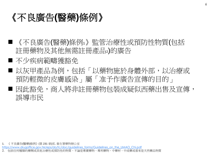### 《不良廣告**(**醫藥**)**條例》

■ 《不良廣告(醫藥)條例1》 監管治療性或預防性物質(包括 註冊藥物及其他無需註冊產品2)的廣告

- 不少疾病範疇獲豁免
- 以灰甲產品為例,包括「以藥物施於身體外部,以治療或 預防輕微的皮膚感染」屬「准予作廣告宣傳的目的」
- 因此豁免,商人將非註冊藥物包裝成疑似西藥出售及宣傳, 誤導市民

1. 《 不良廣告(醫藥)條例》(第 231 章)部, 衛生署藥物辦公室

[https://www.drugoffice.gov.hk/eps/do/tc/doc/guidelines\\_forms/Guidelines\\_on\\_the\\_UMAO\\_Chi.pdf](https://www.drugoffice.gov.hk/eps/do/tc/doc/guidelines_forms/Guidelines_on_the_UMAO_Chi.pdf)

2. 包括任何種類的藥劑或其他治療性或預防性的物質、不論是專賣藥物、專利藥物、中藥材、中成藥或看來是天然藥品物質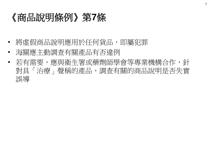### 《商品說明條例》第**7**條

- 將虛假商品說明應用於任何貨品,即屬犯罪
- 海關應主動調查有關產品有否違例
- 若有需要,應與衛生署或藥劑師學會等專業機構合作,針 對具「治療」聲稱的產品,調查有關的商品說明是否失實 誤導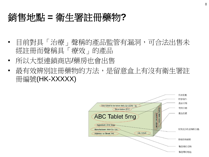### 銷售地點 **=** 衛生署註冊藥物**?**

- 目前對具「治療」聲稱的產品監管有漏洞,可合法出售未 經註冊而聲稱具「療效」的產品
- 所以大型連鎖商店/藥房也會出售
- 最有效辨別註冊藥物的方法,是留意盒上有沒有衛生署註 冊編號(HK-XXXXX)

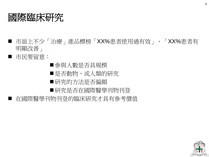

■ 市面上不少「治療」產品標榜「XX%患者使用過有效」、「XX%患者有 明顯改善」

■ 市民要留意:

- 參與人數是否具規模
- ■是否動物,或人類的研究
- 研究的方法是否偏頗

■研究是否在國際醫學刊物刊登

■ 在國際醫學刊物刊登的臨床研究才具有參考價值

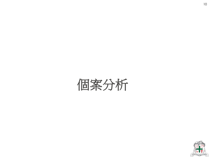

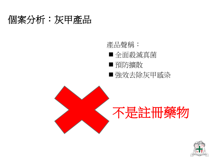### 個案分析:灰甲產品

產品聲稱:

- 全面殺滅真菌
- 預防擴散
- 強效去除灰甲感染



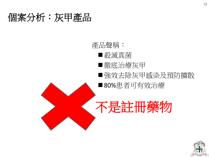### 個案分析:灰甲產品



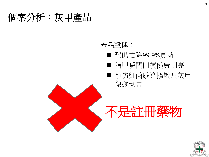### 個案分析:灰甲產品

#### 產品聲稱:

- 幫助去除99.9%真菌
- 指甲瞬間回復健康明亮
- 預防細菌感染擴散及灰甲 復發機會



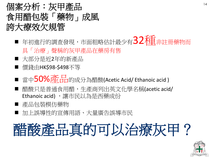### 個案分析:灰甲產品 食用醋包裝「藥物」成風 誇大療效欠規管

- 年初進行的調查發現,市面粗略估計最少有32種非註冊藥物而 具「治療」聲稱的灰甲產品在藥房有售
- 大部分是近2年的新產品
- 價錢由HK\$98-\$498不等
- 當中50%產品的成分為醋酸(Acetic Acid/ Ethanoic acid)
- 醋酸只是普通食用醋,生產商列出英文化學名稱(acetic acid/ Ethanoic acid), 讓市民以為是西藥成份
- 產品包裝模仿藥物
- 加上誤導性的宣傳用語、大量廣告誤導市民

# 醋酸產品真的可以治療灰甲?

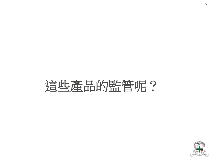# 這些產品的監管呢?

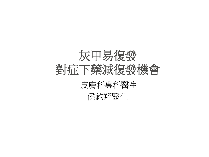

| 侯鈞翔醫生 |  |
|-------|--|
|       |  |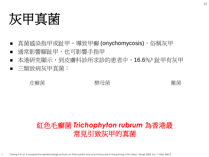灰甲真菌

- 真菌感染指甲或趾甲,導致甲癬 (onychomycosis),俗稱灰甲
- 通常影響腳趾甲,也可影響手指甲
- 本港研究顯示,到皮膚科診所求診的患者中,16.6%1趾甲有灰甲
- 三類致病灰甲真菌:

皮癬菌 すいてき 酵母菌 けいこうしょう 黴菌

#### 紅色毛癬菌 *Trichophyton rubrum* 為香港最 常見引致灰甲的真菌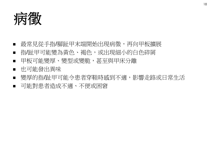病徵

- 最常見從手指/腳趾甲末端開始出現病徵,再向甲板擴展
- 指/趾甲可能變為黃色、褐色,或出現細小的白色碎屑
- 甲板可能變厚、變型或變脆,甚至與甲床分離
- 也可能發出異味
- 變厚的指/趾甲可能令患者穿鞋時感到不適,影響走路或日常生活 可能對患者造成不適、不便或困窘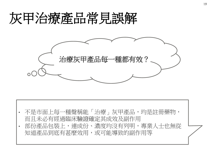# 灰甲治療產品常見誤解



- 不是市面上每一種聲稱能「治療」灰甲產品,均是註冊藥物, 而且未必有經過臨床驗證確定其成效及副作用
- 部份產品包裝上,連成份、濃度均沒有列明,專業人士也無從 知道產品到底有甚麼效用,或可能導致的副作用等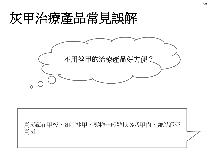# 灰甲治療產品常見誤解



真菌藏在甲板,如不挫甲,藥物一般難以滲透甲內,難以殺死 真菌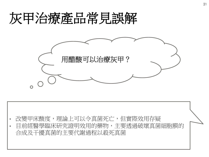# 灰甲治療產品常見誤解



- 改變甲床酸度,理論上可以令真菌死亡,但實際效用存疑
- 目前經醫學臨床研究證明效用的藥物,主要透過破壞真菌細胞膜的 合成及干擾真菌的主要代謝過程以殺死真菌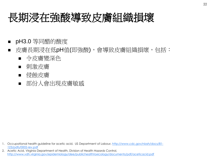## 長期浸在強酸導致皮膚組織損壞

- pH3.0 等同醋的酸度
- 皮膚長期浸在低pH值(即強酸),會導致皮膚組織損壞,包括:
	- 令皮膚變深色
	- 刺激皮膚
	- 侵蝕皮膚
	- 部份人會出現皮膚敏感

- 1. Occupational health guideline for acetic acid, US Department of Labour, [http://www.cdc.gov/niosh/docs/81-](http://www.cdc.gov/niosh/docs/81-123/pdfs/0002-rev.pdf) [123/pdfs/0002-rev.pdf](http://www.cdc.gov/niosh/docs/81-123/pdfs/0002-rev.pdf)
- 2. Acetic Acid, Virginia Department of Health, Division of Health Hazards Control, <http://www.vdh.virginia.gov/epidemiology/dee/publichealthtoxicology/documents/pdf/aceticacid.pdf>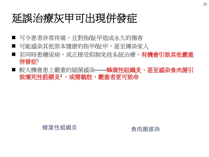## 延誤治療灰甲可出現併發症

- 可令患者非常疼痛,且對指/趾甲造成永久的傷害
- 可能感染其他原本健康的指甲/趾甲,甚至傳染家人
- 若同時患糖尿病,或正接受抑制免疫系統治療,**有機會引致其他嚴重** 併發症1
- 較大機會患上嚴重的細菌感染——蜂窩性組織炎、甚至感染食肉菌引 致壞死性筋膜炎1,或需截肢,嚴重者更可致命

蜂窩性組織炎 いっとう 食肉菌感染

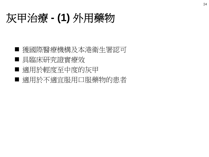## 灰甲治療 **- (1)** 外用藥物

- 獲國際醫療機構及本港衛生署認可 ■ 具臨床研究證實療效
- 適用於輕度至中度的灰甲
- 適用於不適宜服用口服藥物的患者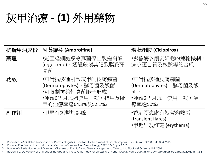# 灰甲治療 **- (1)** 外用藥物

| 抗癬甲油成份 | 阿莫羅芬 (Amorolfine)                                                                                     | 環吡酮胺 (Ciclopirox)                                                      |
|--------|-------------------------------------------------------------------------------------------------------|------------------------------------------------------------------------|
| 藥理     | ●能直達細胞膜令真菌停止製造甾醇<br>(ergosterol),透過破壞其細胞膜殺死<br>真菌                                                     | •影響酶以削弱細胞的運輸機制<br>減少蛋白質及核酸等的合成                                         |
| 功效     | •可對抗多種引致灰甲的皮膚癬菌<br>(Dermatophytes)、酵母菌及黴菌<br>•可限制抗藥性真菌胞子形成<br>•連續6個月每週使用一次,指甲及趾<br>甲的治癒率達64.3%及52.1%3 | •可對抗多種皮膚癬菌<br>(Dermatophytes)、酵母菌及黴<br>菌,<br>•連續6個月每日使用一次,治<br>癒率逾50%3 |
| 副作用    | ●甲周有短暫灼熱感                                                                                             | ●香港腳患處有短暫灼熱感<br>(transient flares)<br>•甲週出現紅斑 (erythema)               |

1. Roberts DT *et al*. British Association of Dermatologists. Guidelines for treatment of onychomycosis. *Br J Dermatol* 2003;148(3):402-10.

2. Polak A, Preclinical data and mode of action of amorolfine. Dermatology 1992; 184 Suppl 1:3-7

3. Baran, *et al* eds. *Baran and Dawber's Diseases of the Nails and Their Management.* Oxford, UK: Blackwell Science Ltd; 2001

4. Robert B *et al.* Review of antifungal therapy and the severity index for assessing onychomycosis: Part I. .*Journal of Dermatological Treatment*. 2008; 19: 72-81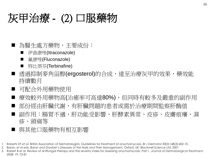## 灰甲治療 - (2) 口服藥物

- 為醫生處方藥物,主要成份:
	- 伊曲康唑(Itraconazole)
	- 氟康唑(Fluconazole)
	- 特比萘芬(Terbinafine)
- 透過抑制麥角甾醇(ergosterol)的合成,達至治療灰甲的效果,藥效能 持續數月
- 可配合外用藥物使用
- 療效較外用藥物高(治癒率可高達80%),但同時有較多及嚴重的副作用
- 部份經由肝臟代謝,有肝臟問題的患者或需於治療期間監察肝酶值
- 副作用:腸胃不適、肝功能受影響、肝酵素異常、皮疹、皮膚痕癢、濕 疹、頭痛等
- 與其他口服藥物有相互影響
- 1. Roberts DT *et al*. British Association of Dermatologists. Guidelines for treatment of onychomycosis. *Br J Dermatol* 2003;148(3):402-10.
- 2. Baran, *et al* eds. *Baran and Dawber's Diseases of the Nails and Their Management.* Oxford, UK: Blackwell Science Ltd; 2001
- 3. Robert B *et al.* Review of antifungal therapy and the severity index for assessing onychomycosis: Part I. .*Journal of Dermatological Treatment*. 2008; 19: 72-81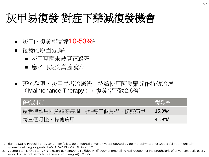## 灰甲易復發 對症下藥減復發機會

- 灰甲的復發率高達10-53%<sup>1</sup>
- 復發的原因分為1 :
	- 灰甲真菌未被真正殺死
	- 患者再度受真菌感染
- 研究發現,灰甲患者治癒後,持續使用阿莫羅芬作持效治療 (Maintenance Therapy), 復發率下跌2.6倍

| 研究組別                     | 復發率                   |
|--------------------------|-----------------------|
| 患者持續用阿莫羅芬每周一次+每三個月挫、修剪病甲 | $15.9\%$ <sup>2</sup> |
| 每三個月挫、修剪病甲               | $41.9\%$ <sup>2</sup> |

- 1. Bianca Maria Piraccini et al, Long-term follow-up of toenail onychomycosis caused by dermatophytes after successful treatment with systemic antifungal agents, J AM ACAD DERMATOL. March 2010
- 2. Sigurgeirsson B, Olafsson JH, Steinsson JT, Kerrouche N, Sidou F. Efficacy of amorolfine nail lacquer for the prophylaxis of onychomycosis over 3 years. J Eur Acad Dermatol Venereol. 2010 Aug;24(8):910-5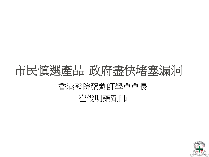# 香港醫院藥劑師學會會長 崔俊明藥劑師 市民慎選產品政府盡快堵塞漏洞

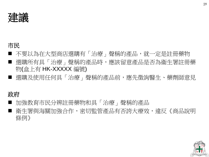

#### 市民

- 不要以為在大型商店選購有「治療」聲稱的產品,就一定是註冊藥物 ■ 選購所有具「治療」聲稱的產品時,應該留意產品是否為衞生署註冊藥 物(盒上有 HK-XXXXX 編號)
- 選購及使用任何具「治療﹔聲稱的產品前,應先徵詢醫生、藥劑師意見

#### 政府

- 加強教育市民分辨註冊藥物和具「治療」聲稱的產品
- 衛生署與海關加強合作,密切監管產品有否誇大療效,違反《商品說明 條例》